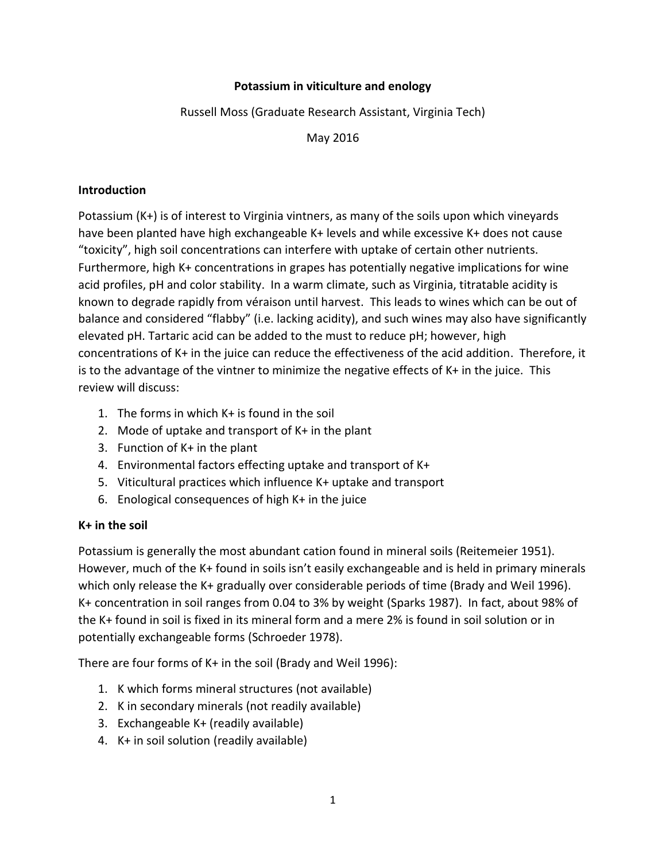### **Potassium in viticulture and enology**

Russell Moss (Graduate Research Assistant, Virginia Tech)

May 2016

#### **Introduction**

Potassium (K+) is of interest to Virginia vintners, as many of the soils upon which vineyards have been planted have high exchangeable K+ levels and while excessive K+ does not cause "toxicity", high soil concentrations can interfere with uptake of certain other nutrients. Furthermore, high K+ concentrations in grapes has potentially negative implications for wine acid profiles, pH and color stability. In a warm climate, such as Virginia, titratable acidity is known to degrade rapidly from véraison until harvest. This leads to wines which can be out of balance and considered "flabby" (i.e. lacking acidity), and such wines may also have significantly elevated pH. Tartaric acid can be added to the must to reduce pH; however, high concentrations of K+ in the juice can reduce the effectiveness of the acid addition. Therefore, it is to the advantage of the vintner to minimize the negative effects of K+ in the juice. This review will discuss:

- 1. The forms in which K+ is found in the soil
- 2. Mode of uptake and transport of K+ in the plant
- 3. Function of K+ in the plant
- 4. Environmental factors effecting uptake and transport of K+
- 5. Viticultural practices which influence K+ uptake and transport
- 6. Enological consequences of high K+ in the juice

#### **K+ in the soil**

Potassium is generally the most abundant cation found in mineral soils (Reitemeier 1951). However, much of the K+ found in soils isn't easily exchangeable and is held in primary minerals which only release the K+ gradually over considerable periods of time (Brady and Weil 1996). K+ concentration in soil ranges from 0.04 to 3% by weight (Sparks 1987). In fact, about 98% of the K+ found in soil is fixed in its mineral form and a mere 2% is found in soil solution or in potentially exchangeable forms (Schroeder 1978).

There are four forms of K+ in the soil (Brady and Weil 1996):

- 1. K which forms mineral structures (not available)
- 2. K in secondary minerals (not readily available)
- 3. Exchangeable K+ (readily available)
- 4. K+ in soil solution (readily available)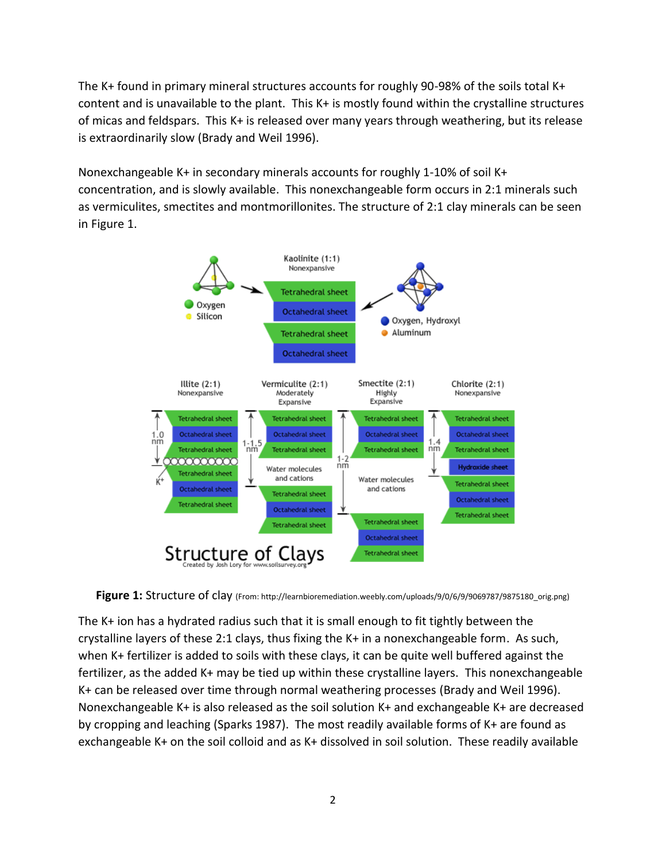The K+ found in primary mineral structures accounts for roughly 90-98% of the soils total K+ content and is unavailable to the plant. This K+ is mostly found within the crystalline structures of micas and feldspars. This K+ is released over many years through weathering, but its release is extraordinarily slow (Brady and Weil 1996).

Nonexchangeable K+ in secondary minerals accounts for roughly 1-10% of soil K+ concentration, and is slowly available. This nonexchangeable form occurs in 2:1 minerals such as vermiculites, smectites and montmorillonites. The structure of 2:1 clay minerals can be seen in Figure 1.



Figure 1: Structure of clay (From: http://learnbioremediation.weebly.com/uploads/9/0/6/9/9069787/9875180\_orig.png)

The K+ ion has a hydrated radius such that it is small enough to fit tightly between the crystalline layers of these 2:1 clays, thus fixing the K+ in a nonexchangeable form. As such, when K+ fertilizer is added to soils with these clays, it can be quite well buffered against the fertilizer, as the added K+ may be tied up within these crystalline layers. This nonexchangeable K+ can be released over time through normal weathering processes (Brady and Weil 1996). Nonexchangeable K+ is also released as the soil solution K+ and exchangeable K+ are decreased by cropping and leaching (Sparks 1987). The most readily available forms of K+ are found as exchangeable K+ on the soil colloid and as K+ dissolved in soil solution. These readily available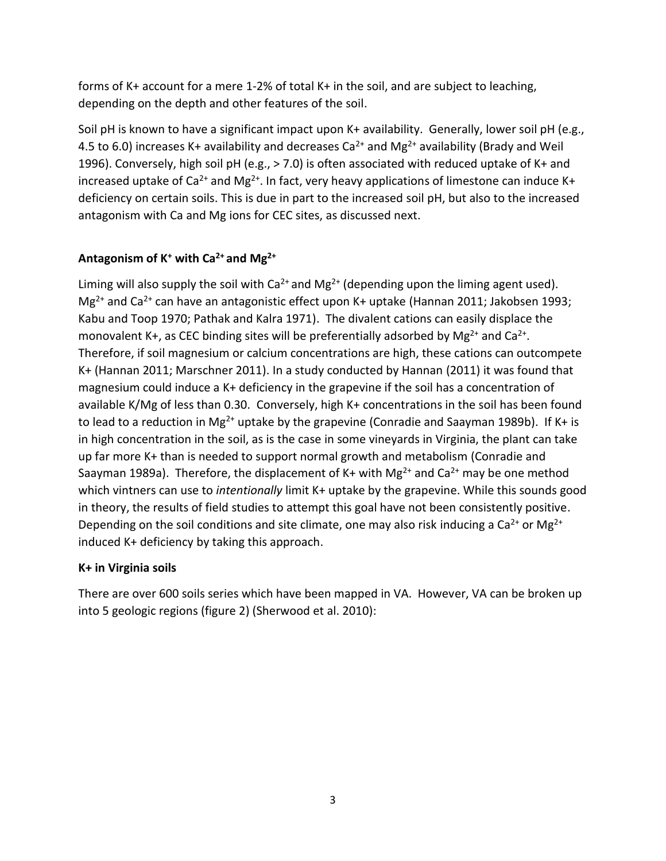forms of K+ account for a mere 1-2% of total K+ in the soil, and are subject to leaching, depending on the depth and other features of the soil.

Soil pH is known to have a significant impact upon K+ availability. Generally, lower soil pH (e.g., 4.5 to 6.0) increases K+ availability and decreases Ca<sup>2+</sup> and Mg<sup>2+</sup> availability (Brady and Weil 1996). Conversely, high soil pH (e.g., > 7.0) is often associated with reduced uptake of K+ and increased uptake of  $Ca^{2+}$  and Mg<sup>2+</sup>. In fact, very heavy applications of limestone can induce K+ deficiency on certain soils. This is due in part to the increased soil pH, but also to the increased antagonism with Ca and Mg ions for CEC sites, as discussed next.

# **Antagonism of K<sup>+</sup> with Ca2+ and Mg2+**

Liming will also supply the soil with Ca<sup>2+</sup> and Mg<sup>2+</sup> (depending upon the liming agent used). Mg<sup>2+</sup> and Ca<sup>2+</sup> can have an antagonistic effect upon K+ uptake (Hannan 2011; Jakobsen 1993; Kabu and Toop 1970; Pathak and Kalra 1971). The divalent cations can easily displace the monovalent K+, as CEC binding sites will be preferentially adsorbed by  $Mg^{2+}$  and Ca<sup>2+</sup>. Therefore, if soil magnesium or calcium concentrations are high, these cations can outcompete K+ (Hannan 2011; Marschner 2011). In a study conducted by Hannan (2011) it was found that magnesium could induce a K+ deficiency in the grapevine if the soil has a concentration of available K/Mg of less than 0.30. Conversely, high K+ concentrations in the soil has been found to lead to a reduction in Mg<sup>2+</sup> uptake by the grapevine (Conradie and Saayman 1989b). If K+ is in high concentration in the soil, as is the case in some vineyards in Virginia, the plant can take up far more K+ than is needed to support normal growth and metabolism (Conradie and Saayman 1989a). Therefore, the displacement of K+ with Mg<sup>2+</sup> and Ca<sup>2+</sup> may be one method which vintners can use to *intentionally* limit K+ uptake by the grapevine. While this sounds good in theory, the results of field studies to attempt this goal have not been consistently positive. Depending on the soil conditions and site climate, one may also risk inducing a Ca<sup>2+</sup> or Mg<sup>2+</sup> induced K+ deficiency by taking this approach.

## **K+ in Virginia soils**

There are over 600 soils series which have been mapped in VA. However, VA can be broken up into 5 geologic regions (figure 2) (Sherwood et al. 2010):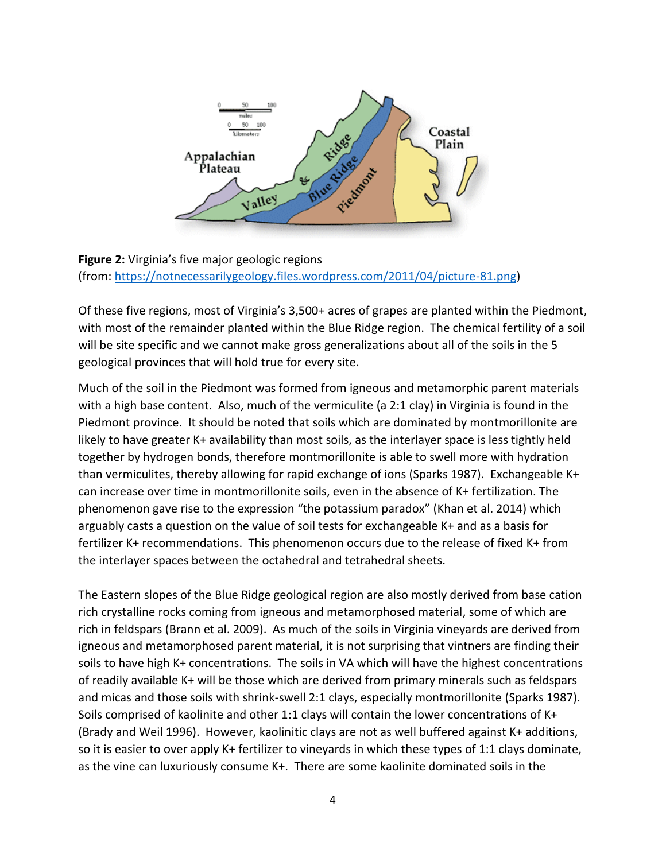

**Figure 2:** Virginia's five major geologic regions (from: [https://notnecessarilygeology.files.wordpress.com/2011/04/picture-81.png\)](https://notnecessarilygeology.files.wordpress.com/2011/04/picture-81.png)

Of these five regions, most of Virginia's 3,500+ acres of grapes are planted within the Piedmont, with most of the remainder planted within the Blue Ridge region. The chemical fertility of a soil will be site specific and we cannot make gross generalizations about all of the soils in the 5 geological provinces that will hold true for every site.

Much of the soil in the Piedmont was formed from igneous and metamorphic parent materials with a high base content. Also, much of the vermiculite (a 2:1 clay) in Virginia is found in the Piedmont province. It should be noted that soils which are dominated by montmorillonite are likely to have greater K+ availability than most soils, as the interlayer space is less tightly held together by hydrogen bonds, therefore montmorillonite is able to swell more with hydration than vermiculites, thereby allowing for rapid exchange of ions (Sparks 1987). Exchangeable K+ can increase over time in montmorillonite soils, even in the absence of K+ fertilization. The phenomenon gave rise to the expression "the potassium paradox" (Khan et al. 2014) which arguably casts a question on the value of soil tests for exchangeable K+ and as a basis for fertilizer K+ recommendations. This phenomenon occurs due to the release of fixed K+ from the interlayer spaces between the octahedral and tetrahedral sheets.

The Eastern slopes of the Blue Ridge geological region are also mostly derived from base cation rich crystalline rocks coming from igneous and metamorphosed material, some of which are rich in feldspars (Brann et al. 2009). As much of the soils in Virginia vineyards are derived from igneous and metamorphosed parent material, it is not surprising that vintners are finding their soils to have high K+ concentrations. The soils in VA which will have the highest concentrations of readily available K+ will be those which are derived from primary minerals such as feldspars and micas and those soils with shrink-swell 2:1 clays, especially montmorillonite (Sparks 1987). Soils comprised of kaolinite and other 1:1 clays will contain the lower concentrations of K+ (Brady and Weil 1996). However, kaolinitic clays are not as well buffered against K+ additions, so it is easier to over apply K+ fertilizer to vineyards in which these types of 1:1 clays dominate, as the vine can luxuriously consume K+. There are some kaolinite dominated soils in the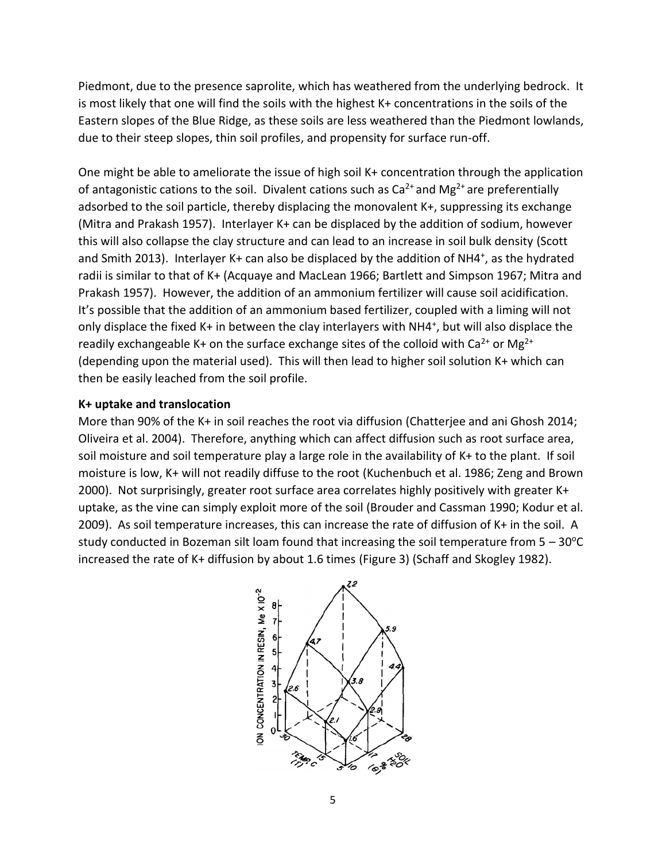Piedmont, due to the presence saprolite, which has weathered from the underlying bedrock. It is most likely that one will find the soils with the highest K+ concentrations in the soils of the Eastern slopes of the Blue Ridge, as these soils are less weathered than the Piedmont lowlands, due to their steep slopes, thin soil profiles, and propensity for surface run-off.

One might be able to ameliorate the issue of high soil K+ concentration through the application of antagonistic cations to the soil. Divalent cations such as  $Ca^{2+}$  and Mg<sup>2+</sup> are preferentially adsorbed to the soil particle, thereby displacing the monovalent K+, suppressing its exchange (Mitra and Prakash 1957). Interlayer K+ can be displaced by the addition of sodium, however this will also collapse the clay structure and can lead to an increase in soil bulk density (Scott and Smith 2013). Interlayer K+ can also be displaced by the addition of NH4<sup>+</sup>, as the hydrated radii is similar to that of K+ (Acquaye and MacLean 1966; Bartlett and Simpson 1967; Mitra and Prakash 1957). However, the addition of an ammonium fertilizer will cause soil acidification. It's possible that the addition of an ammonium based fertilizer, coupled with a liming will not only displace the fixed K+ in between the clay interlayers with NH4<sup>+</sup>, but will also displace the readily exchangeable K+ on the surface exchange sites of the colloid with  $Ca^{2+}$  or Mg<sup>2+</sup> (depending upon the material used). This will then lead to higher soil solution K+ which can then be easily leached from the soil profile.

#### **K+ uptake and translocation**

More than 90% of the K+ in soil reaches the root via diffusion (Chatterjee and ani Ghosh 2014; Oliveira et al. 2004). Therefore, anything which can affect diffusion such as root surface area, soil moisture and soil temperature play a large role in the availability of K+ to the plant. If soil moisture is low, K+ will not readily diffuse to the root (Kuchenbuch et al. 1986; Zeng and Brown 2000). Not surprisingly, greater root surface area correlates highly positively with greater K+ uptake, as the vine can simply exploit more of the soil (Brouder and Cassman 1990; Kodur et al. 2009). As soil temperature increases, this can increase the rate of diffusion of K+ in the soil. A study conducted in Bozeman silt loam found that increasing the soil temperature from  $5 - 30^{\circ}C$ increased the rate of K+ diffusion by about 1.6 times (Figure 3) (Schaff and Skogley 1982).

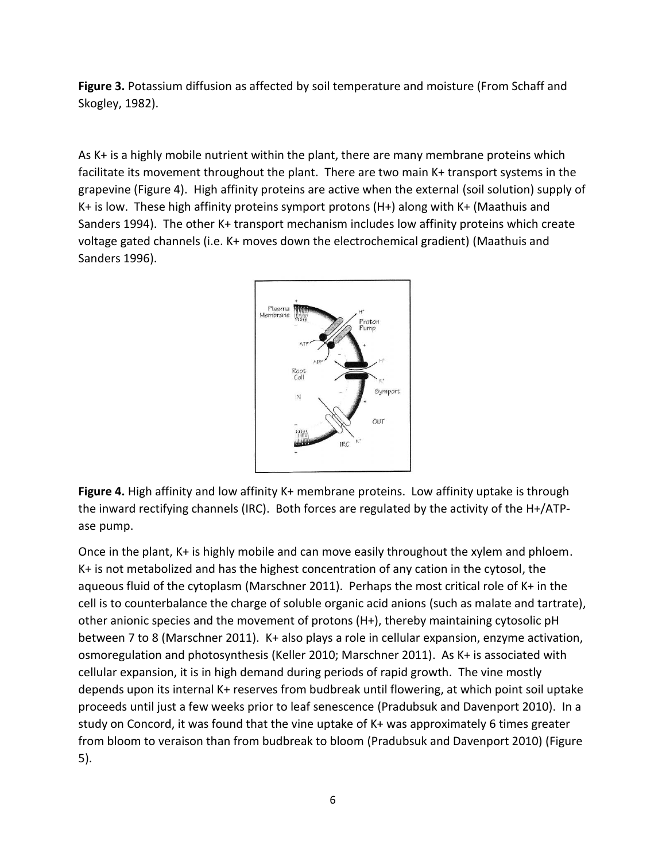**Figure 3.** Potassium diffusion as affected by soil temperature and moisture (From Schaff and Skogley, 1982).

As K+ is a highly mobile nutrient within the plant, there are many membrane proteins which facilitate its movement throughout the plant. There are two main K+ transport systems in the grapevine (Figure 4). High affinity proteins are active when the external (soil solution) supply of K+ is low. These high affinity proteins symport protons (H+) along with K+ (Maathuis and Sanders 1994). The other K+ transport mechanism includes low affinity proteins which create voltage gated channels (i.e. K+ moves down the electrochemical gradient) (Maathuis and Sanders 1996).



**Figure 4.** High affinity and low affinity K+ membrane proteins. Low affinity uptake is through the inward rectifying channels (IRC). Both forces are regulated by the activity of the H+/ATPase pump.

Once in the plant, K+ is highly mobile and can move easily throughout the xylem and phloem. K+ is not metabolized and has the highest concentration of any cation in the cytosol, the aqueous fluid of the cytoplasm (Marschner 2011). Perhaps the most critical role of K+ in the cell is to counterbalance the charge of soluble organic acid anions (such as malate and tartrate), other anionic species and the movement of protons (H+), thereby maintaining cytosolic pH between 7 to 8 (Marschner 2011). K+ also plays a role in cellular expansion, enzyme activation, osmoregulation and photosynthesis (Keller 2010; Marschner 2011). As K+ is associated with cellular expansion, it is in high demand during periods of rapid growth. The vine mostly depends upon its internal K+ reserves from budbreak until flowering, at which point soil uptake proceeds until just a few weeks prior to leaf senescence (Pradubsuk and Davenport 2010). In a study on Concord, it was found that the vine uptake of K+ was approximately 6 times greater from bloom to veraison than from budbreak to bloom (Pradubsuk and Davenport 2010) (Figure 5).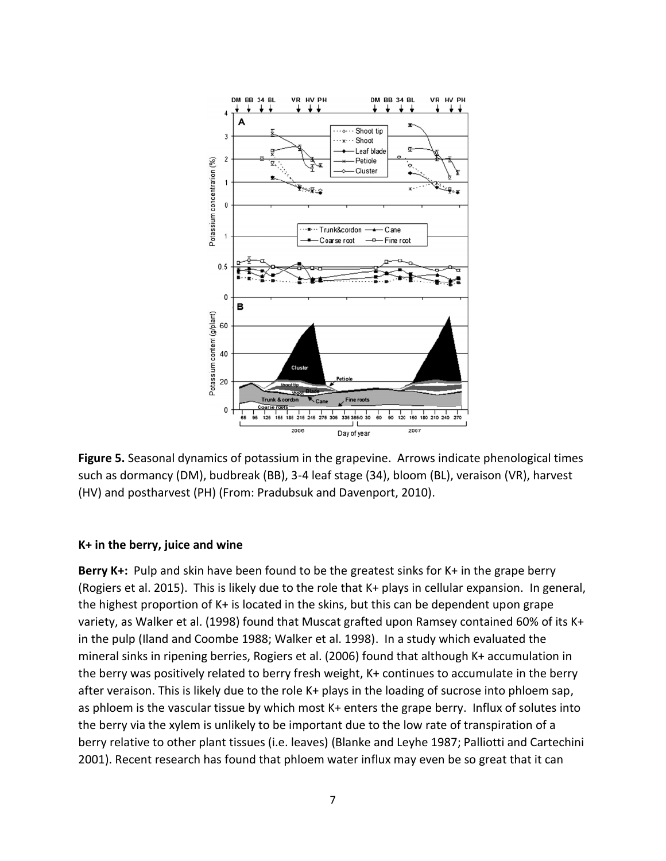

**Figure 5.** Seasonal dynamics of potassium in the grapevine. Arrows indicate phenological times such as dormancy (DM), budbreak (BB), 3-4 leaf stage (34), bloom (BL), veraison (VR), harvest (HV) and postharvest (PH) (From: Pradubsuk and Davenport, 2010).

#### **K+ in the berry, juice and wine**

**Berry K+:** Pulp and skin have been found to be the greatest sinks for K+ in the grape berry (Rogiers et al. 2015). This is likely due to the role that K+ plays in cellular expansion. In general, the highest proportion of K+ is located in the skins, but this can be dependent upon grape variety, as Walker et al. (1998) found that Muscat grafted upon Ramsey contained 60% of its K+ in the pulp (Iland and Coombe 1988; Walker et al. 1998). In a study which evaluated the mineral sinks in ripening berries, Rogiers et al. (2006) found that although K+ accumulation in the berry was positively related to berry fresh weight, K+ continues to accumulate in the berry after veraison. This is likely due to the role K+ plays in the loading of sucrose into phloem sap, as phloem is the vascular tissue by which most K+ enters the grape berry. Influx of solutes into the berry via the xylem is unlikely to be important due to the low rate of transpiration of a berry relative to other plant tissues (i.e. leaves) (Blanke and Leyhe 1987; Palliotti and Cartechini 2001). Recent research has found that phloem water influx may even be so great that it can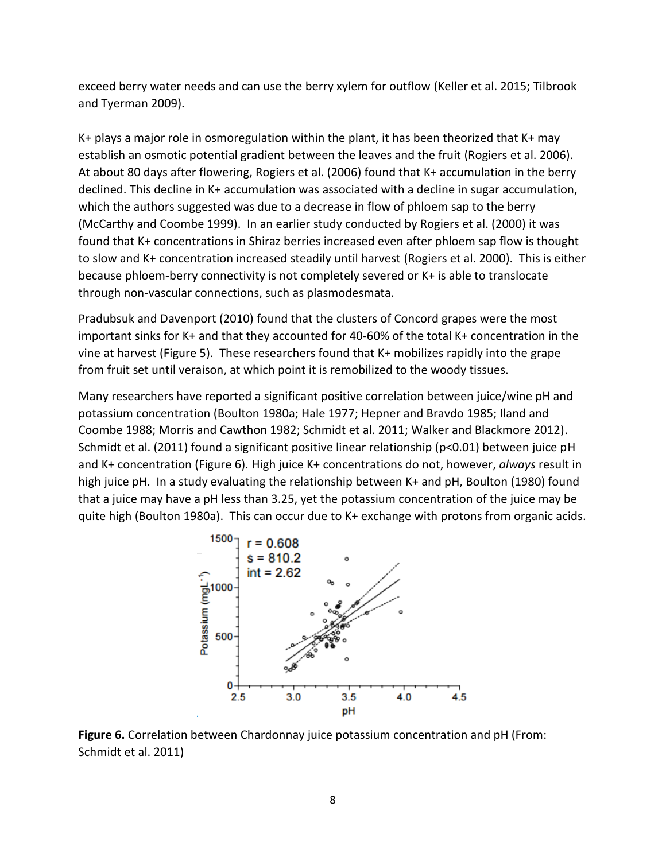exceed berry water needs and can use the berry xylem for outflow (Keller et al. 2015; Tilbrook and Tyerman 2009).

K+ plays a major role in osmoregulation within the plant, it has been theorized that K+ may establish an osmotic potential gradient between the leaves and the fruit (Rogiers et al. 2006). At about 80 days after flowering, Rogiers et al. (2006) found that K+ accumulation in the berry declined. This decline in K+ accumulation was associated with a decline in sugar accumulation, which the authors suggested was due to a decrease in flow of phloem sap to the berry (McCarthy and Coombe 1999). In an earlier study conducted by Rogiers et al. (2000) it was found that K+ concentrations in Shiraz berries increased even after phloem sap flow is thought to slow and K+ concentration increased steadily until harvest (Rogiers et al. 2000). This is either because phloem-berry connectivity is not completely severed or K+ is able to translocate through non-vascular connections, such as plasmodesmata.

Pradubsuk and Davenport (2010) found that the clusters of Concord grapes were the most important sinks for K+ and that they accounted for 40-60% of the total K+ concentration in the vine at harvest (Figure 5). These researchers found that K+ mobilizes rapidly into the grape from fruit set until veraison, at which point it is remobilized to the woody tissues.

Many researchers have reported a significant positive correlation between juice/wine pH and potassium concentration (Boulton 1980a; Hale 1977; Hepner and Bravdo 1985; Iland and Coombe 1988; Morris and Cawthon 1982; Schmidt et al. 2011; Walker and Blackmore 2012). Schmidt et al. (2011) found a significant positive linear relationship (p<0.01) between juice pH and K+ concentration (Figure 6). High juice K+ concentrations do not, however, *always* result in high juice pH. In a study evaluating the relationship between K+ and pH, Boulton (1980) found that a juice may have a pH less than 3.25, yet the potassium concentration of the juice may be quite high (Boulton 1980a). This can occur due to K+ exchange with protons from organic acids.



**Figure 6.** Correlation between Chardonnay juice potassium concentration and pH (From: Schmidt et al. 2011)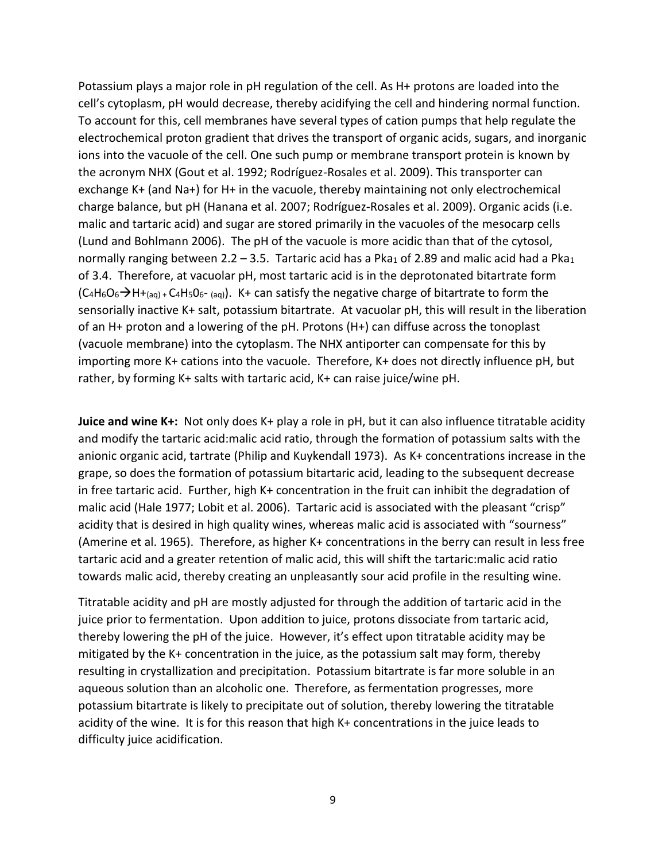Potassium plays a major role in pH regulation of the cell. As H+ protons are loaded into the cell's cytoplasm, pH would decrease, thereby acidifying the cell and hindering normal function. To account for this, cell membranes have several types of cation pumps that help regulate the electrochemical proton gradient that drives the transport of organic acids, sugars, and inorganic ions into the vacuole of the cell. One such pump or membrane transport protein is known by the acronym NHX (Gout et al. 1992; Rodríguez-Rosales et al. 2009). This transporter can exchange K+ (and Na+) for H+ in the vacuole, thereby maintaining not only electrochemical charge balance, but pH (Hanana et al. 2007; Rodríguez-Rosales et al. 2009). Organic acids (i.e. malic and tartaric acid) and sugar are stored primarily in the vacuoles of the mesocarp cells (Lund and Bohlmann 2006). The pH of the vacuole is more acidic than that of the cytosol, normally ranging between 2.2 - 3.5. Tartaric acid has a Pka<sub>1</sub> of 2.89 and malic acid had a Pka<sub>1</sub> of 3.4. Therefore, at vacuolar pH, most tartaric acid is in the deprotonated bitartrate form  $(C_4H_6O_6\rightarrow H+_{(aq)+}C_4H_5O_6-_{(aq)})$ . K+ can satisfy the negative charge of bitartrate to form the sensorially inactive K+ salt, potassium bitartrate. At vacuolar pH, this will result in the liberation of an H+ proton and a lowering of the pH. Protons (H+) can diffuse across the tonoplast (vacuole membrane) into the cytoplasm. The NHX antiporter can compensate for this by importing more K+ cations into the vacuole. Therefore, K+ does not directly influence pH, but rather, by forming K+ salts with tartaric acid, K+ can raise juice/wine pH.

**Juice and wine K+:** Not only does K+ play a role in pH, but it can also influence titratable acidity and modify the tartaric acid:malic acid ratio, through the formation of potassium salts with the anionic organic acid, tartrate (Philip and Kuykendall 1973). As K+ concentrations increase in the grape, so does the formation of potassium bitartaric acid, leading to the subsequent decrease in free tartaric acid. Further, high K+ concentration in the fruit can inhibit the degradation of malic acid (Hale 1977; Lobit et al. 2006). Tartaric acid is associated with the pleasant "crisp" acidity that is desired in high quality wines, whereas malic acid is associated with "sourness" (Amerine et al. 1965). Therefore, as higher K+ concentrations in the berry can result in less free tartaric acid and a greater retention of malic acid, this will shift the tartaric:malic acid ratio towards malic acid, thereby creating an unpleasantly sour acid profile in the resulting wine.

Titratable acidity and pH are mostly adjusted for through the addition of tartaric acid in the juice prior to fermentation. Upon addition to juice, protons dissociate from tartaric acid, thereby lowering the pH of the juice. However, it's effect upon titratable acidity may be mitigated by the K+ concentration in the juice, as the potassium salt may form, thereby resulting in crystallization and precipitation. Potassium bitartrate is far more soluble in an aqueous solution than an alcoholic one. Therefore, as fermentation progresses, more potassium bitartrate is likely to precipitate out of solution, thereby lowering the titratable acidity of the wine. It is for this reason that high K+ concentrations in the juice leads to difficulty juice acidification.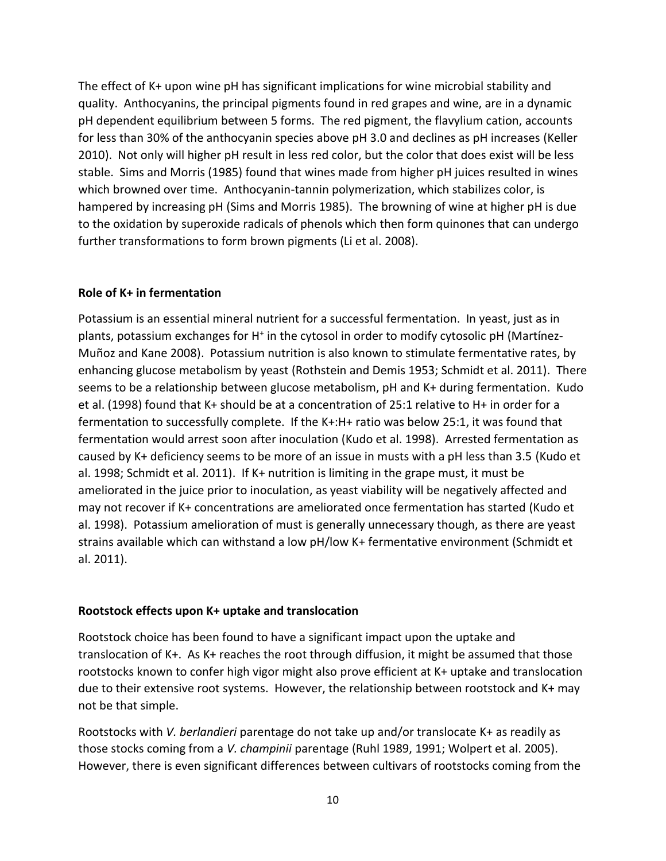The effect of K+ upon wine pH has significant implications for wine microbial stability and quality. Anthocyanins, the principal pigments found in red grapes and wine, are in a dynamic pH dependent equilibrium between 5 forms. The red pigment, the flavylium cation, accounts for less than 30% of the anthocyanin species above pH 3.0 and declines as pH increases (Keller 2010). Not only will higher pH result in less red color, but the color that does exist will be less stable. Sims and Morris (1985) found that wines made from higher pH juices resulted in wines which browned over time. Anthocyanin-tannin polymerization, which stabilizes color, is hampered by increasing pH (Sims and Morris 1985). The browning of wine at higher pH is due to the oxidation by superoxide radicals of phenols which then form quinones that can undergo further transformations to form brown pigments (Li et al. 2008).

#### **Role of K+ in fermentation**

Potassium is an essential mineral nutrient for a successful fermentation. In yeast, just as in plants, potassium exchanges for H<sup>+</sup> in the cytosol in order to modify cytosolic pH (Martínez-Muñoz and Kane 2008). Potassium nutrition is also known to stimulate fermentative rates, by enhancing glucose metabolism by yeast (Rothstein and Demis 1953; Schmidt et al. 2011). There seems to be a relationship between glucose metabolism, pH and K+ during fermentation. Kudo et al. (1998) found that K+ should be at a concentration of 25:1 relative to H+ in order for a fermentation to successfully complete. If the K+:H+ ratio was below 25:1, it was found that fermentation would arrest soon after inoculation (Kudo et al. 1998). Arrested fermentation as caused by K+ deficiency seems to be more of an issue in musts with a pH less than 3.5 (Kudo et al. 1998; Schmidt et al. 2011). If K+ nutrition is limiting in the grape must, it must be ameliorated in the juice prior to inoculation, as yeast viability will be negatively affected and may not recover if K+ concentrations are ameliorated once fermentation has started (Kudo et al. 1998). Potassium amelioration of must is generally unnecessary though, as there are yeast strains available which can withstand a low pH/low K+ fermentative environment (Schmidt et al. 2011).

#### **Rootstock effects upon K+ uptake and translocation**

Rootstock choice has been found to have a significant impact upon the uptake and translocation of K+. As K+ reaches the root through diffusion, it might be assumed that those rootstocks known to confer high vigor might also prove efficient at K+ uptake and translocation due to their extensive root systems. However, the relationship between rootstock and K+ may not be that simple.

Rootstocks with *V. berlandieri* parentage do not take up and/or translocate K+ as readily as those stocks coming from a *V. champinii* parentage (Ruhl 1989, 1991; Wolpert et al. 2005). However, there is even significant differences between cultivars of rootstocks coming from the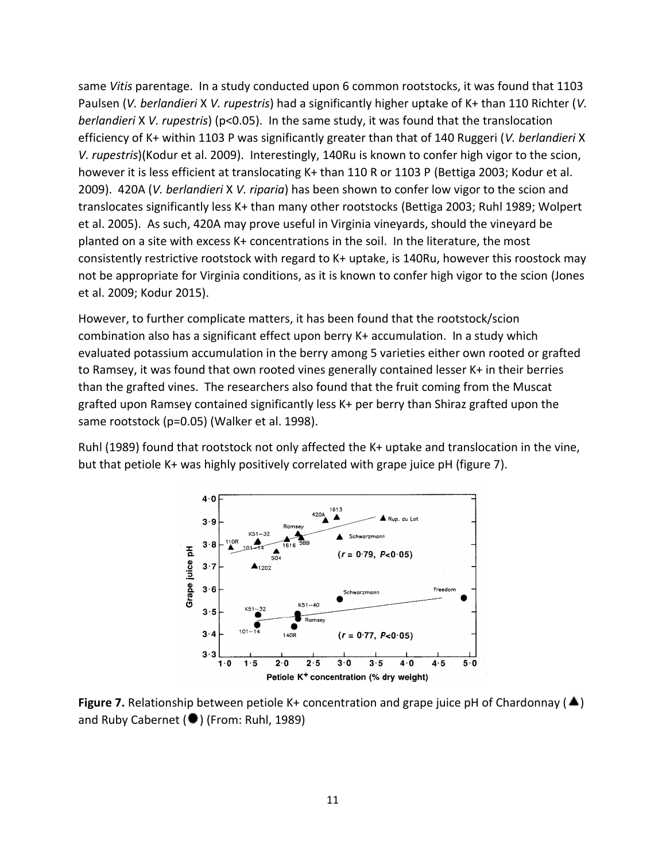same *Vitis* parentage. In a study conducted upon 6 common rootstocks, it was found that 1103 Paulsen (*V. berlandieri* X *V. rupestris*) had a significantly higher uptake of K+ than 110 Richter (*V. berlandieri* X *V. rupestris*) (p<0.05). In the same study, it was found that the translocation efficiency of K+ within 1103 P was significantly greater than that of 140 Ruggeri (*V. berlandieri* X *V. rupestris*)(Kodur et al. 2009). Interestingly, 140Ru is known to confer high vigor to the scion, however it is less efficient at translocating K+ than 110 R or 1103 P (Bettiga 2003; Kodur et al. 2009). 420A (*V. berlandieri* X *V. riparia*) has been shown to confer low vigor to the scion and translocates significantly less K+ than many other rootstocks (Bettiga 2003; Ruhl 1989; Wolpert et al. 2005). As such, 420A may prove useful in Virginia vineyards, should the vineyard be planted on a site with excess K+ concentrations in the soil. In the literature, the most consistently restrictive rootstock with regard to K+ uptake, is 140Ru, however this roostock may not be appropriate for Virginia conditions, as it is known to confer high vigor to the scion (Jones et al. 2009; Kodur 2015).

However, to further complicate matters, it has been found that the rootstock/scion combination also has a significant effect upon berry K+ accumulation. In a study which evaluated potassium accumulation in the berry among 5 varieties either own rooted or grafted to Ramsey, it was found that own rooted vines generally contained lesser K+ in their berries than the grafted vines. The researchers also found that the fruit coming from the Muscat grafted upon Ramsey contained significantly less K+ per berry than Shiraz grafted upon the same rootstock (p=0.05) (Walker et al. 1998).

Ruhl (1989) found that rootstock not only affected the K+ uptake and translocation in the vine, but that petiole K+ was highly positively correlated with grape juice pH (figure 7).



**Figure 7.** Relationship between petiole K+ concentration and grape juice pH of Chardonnay ( $\blacktriangle$ ) and Ruby Cabernet (<sup>1</sup>) (From: Ruhl, 1989)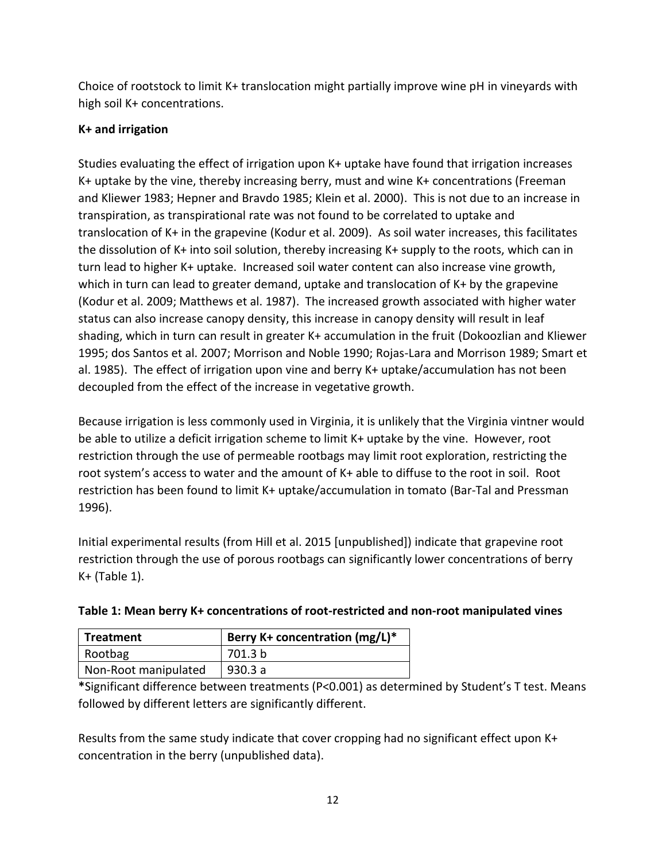Choice of rootstock to limit K+ translocation might partially improve wine pH in vineyards with high soil K+ concentrations.

## **K+ and irrigation**

Studies evaluating the effect of irrigation upon K+ uptake have found that irrigation increases K+ uptake by the vine, thereby increasing berry, must and wine K+ concentrations (Freeman and Kliewer 1983; Hepner and Bravdo 1985; Klein et al. 2000). This is not due to an increase in transpiration, as transpirational rate was not found to be correlated to uptake and translocation of K+ in the grapevine (Kodur et al. 2009). As soil water increases, this facilitates the dissolution of K+ into soil solution, thereby increasing K+ supply to the roots, which can in turn lead to higher K+ uptake. Increased soil water content can also increase vine growth, which in turn can lead to greater demand, uptake and translocation of K+ by the grapevine (Kodur et al. 2009; Matthews et al. 1987). The increased growth associated with higher water status can also increase canopy density, this increase in canopy density will result in leaf shading, which in turn can result in greater K+ accumulation in the fruit (Dokoozlian and Kliewer 1995; dos Santos et al. 2007; Morrison and Noble 1990; Rojas-Lara and Morrison 1989; Smart et al. 1985). The effect of irrigation upon vine and berry K+ uptake/accumulation has not been decoupled from the effect of the increase in vegetative growth.

Because irrigation is less commonly used in Virginia, it is unlikely that the Virginia vintner would be able to utilize a deficit irrigation scheme to limit K+ uptake by the vine. However, root restriction through the use of permeable rootbags may limit root exploration, restricting the root system's access to water and the amount of K+ able to diffuse to the root in soil. Root restriction has been found to limit K+ uptake/accumulation in tomato (Bar-Tal and Pressman 1996).

Initial experimental results (from Hill et al. 2015 [unpublished]) indicate that grapevine root restriction through the use of porous rootbags can significantly lower concentrations of berry  $K+$  (Table 1).

| Treatment            | Berry K+ concentration (mg/L)* |
|----------------------|--------------------------------|
| Rootbag              | 701.3 b                        |
| Non-Root manipulated | 930.3 a                        |

**\***Significant difference between treatments (P<0.001) as determined by Student's T test. Means followed by different letters are significantly different.

Results from the same study indicate that cover cropping had no significant effect upon K+ concentration in the berry (unpublished data).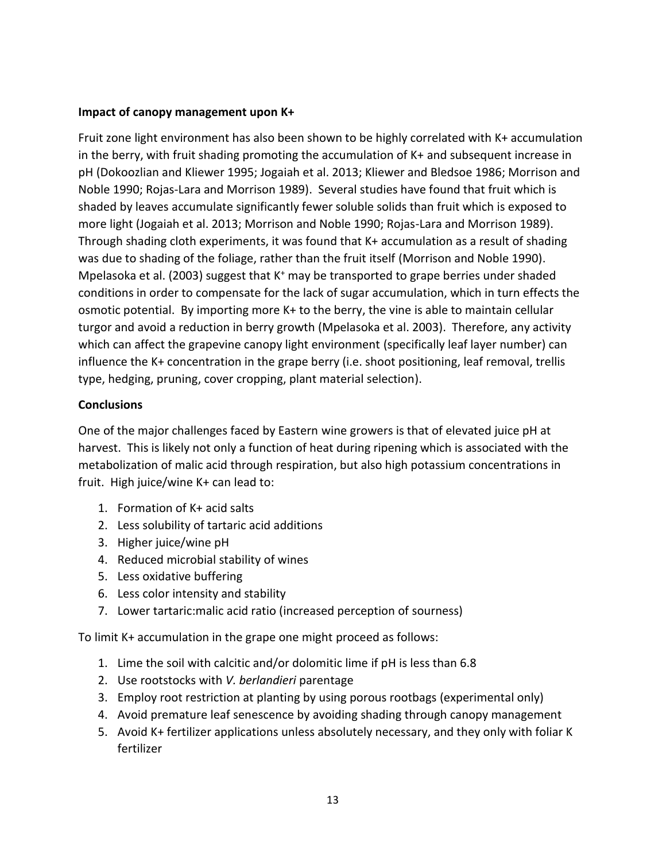### **Impact of canopy management upon K+**

Fruit zone light environment has also been shown to be highly correlated with K+ accumulation in the berry, with fruit shading promoting the accumulation of K+ and subsequent increase in pH (Dokoozlian and Kliewer 1995; Jogaiah et al. 2013; Kliewer and Bledsoe 1986; Morrison and Noble 1990; Rojas-Lara and Morrison 1989). Several studies have found that fruit which is shaded by leaves accumulate significantly fewer soluble solids than fruit which is exposed to more light (Jogaiah et al. 2013; Morrison and Noble 1990; Rojas-Lara and Morrison 1989). Through shading cloth experiments, it was found that K+ accumulation as a result of shading was due to shading of the foliage, rather than the fruit itself (Morrison and Noble 1990). Mpelasoka et al. (2003) suggest that  $K^+$  may be transported to grape berries under shaded conditions in order to compensate for the lack of sugar accumulation, which in turn effects the osmotic potential. By importing more K+ to the berry, the vine is able to maintain cellular turgor and avoid a reduction in berry growth (Mpelasoka et al. 2003). Therefore, any activity which can affect the grapevine canopy light environment (specifically leaf layer number) can influence the K+ concentration in the grape berry (i.e. shoot positioning, leaf removal, trellis type, hedging, pruning, cover cropping, plant material selection).

### **Conclusions**

One of the major challenges faced by Eastern wine growers is that of elevated juice pH at harvest. This is likely not only a function of heat during ripening which is associated with the metabolization of malic acid through respiration, but also high potassium concentrations in fruit. High juice/wine K+ can lead to:

- 1. Formation of K+ acid salts
- 2. Less solubility of tartaric acid additions
- 3. Higher juice/wine pH
- 4. Reduced microbial stability of wines
- 5. Less oxidative buffering
- 6. Less color intensity and stability
- 7. Lower tartaric:malic acid ratio (increased perception of sourness)

To limit K+ accumulation in the grape one might proceed as follows:

- 1. Lime the soil with calcitic and/or dolomitic lime if pH is less than 6.8
- 2. Use rootstocks with *V. berlandieri* parentage
- 3. Employ root restriction at planting by using porous rootbags (experimental only)
- 4. Avoid premature leaf senescence by avoiding shading through canopy management
- 5. Avoid K+ fertilizer applications unless absolutely necessary, and they only with foliar K fertilizer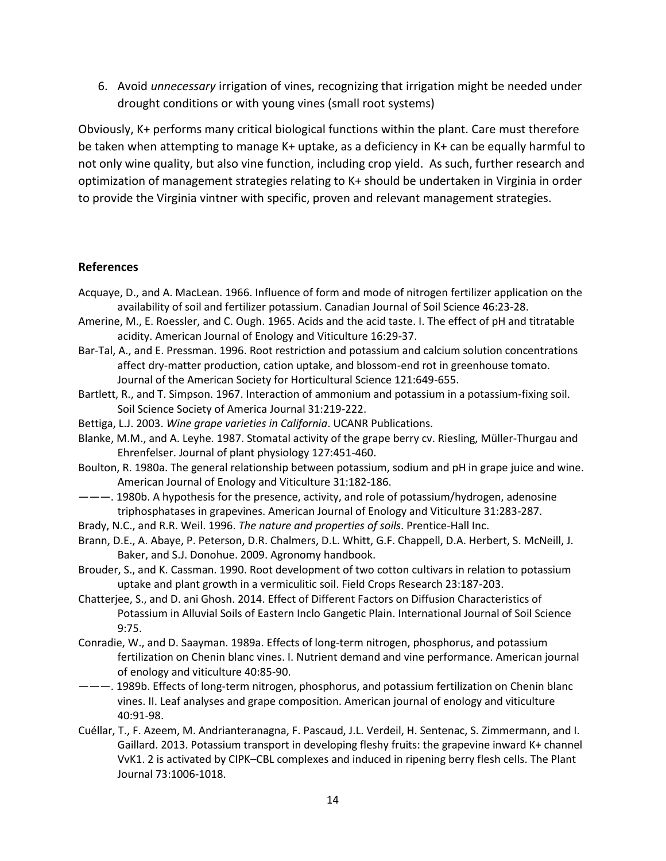6. Avoid *unnecessary* irrigation of vines, recognizing that irrigation might be needed under drought conditions or with young vines (small root systems)

Obviously, K+ performs many critical biological functions within the plant. Care must therefore be taken when attempting to manage K+ uptake, as a deficiency in K+ can be equally harmful to not only wine quality, but also vine function, including crop yield. As such, further research and optimization of management strategies relating to K+ should be undertaken in Virginia in order to provide the Virginia vintner with specific, proven and relevant management strategies.

#### **References**

- Acquaye, D., and A. MacLean. 1966. Influence of form and mode of nitrogen fertilizer application on the availability of soil and fertilizer potassium. Canadian Journal of Soil Science 46:23-28.
- Amerine, M., E. Roessler, and C. Ough. 1965. Acids and the acid taste. I. The effect of pH and titratable acidity. American Journal of Enology and Viticulture 16:29-37.
- Bar-Tal, A., and E. Pressman. 1996. Root restriction and potassium and calcium solution concentrations affect dry-matter production, cation uptake, and blossom-end rot in greenhouse tomato. Journal of the American Society for Horticultural Science 121:649-655.
- Bartlett, R., and T. Simpson. 1967. Interaction of ammonium and potassium in a potassium-fixing soil. Soil Science Society of America Journal 31:219-222.
- Bettiga, L.J. 2003. *Wine grape varieties in California*. UCANR Publications.
- Blanke, M.M., and A. Leyhe. 1987. Stomatal activity of the grape berry cv. Riesling, Müller-Thurgau and Ehrenfelser. Journal of plant physiology 127:451-460.
- Boulton, R. 1980a. The general relationship between potassium, sodium and pH in grape juice and wine. American Journal of Enology and Viticulture 31:182-186.
- ———. 1980b. A hypothesis for the presence, activity, and role of potassium/hydrogen, adenosine triphosphatases in grapevines. American Journal of Enology and Viticulture 31:283-287.
- Brady, N.C., and R.R. Weil. 1996. *The nature and properties of soils*. Prentice-Hall Inc.
- Brann, D.E., A. Abaye, P. Peterson, D.R. Chalmers, D.L. Whitt, G.F. Chappell, D.A. Herbert, S. McNeill, J. Baker, and S.J. Donohue. 2009. Agronomy handbook.
- Brouder, S., and K. Cassman. 1990. Root development of two cotton cultivars in relation to potassium uptake and plant growth in a vermiculitic soil. Field Crops Research 23:187-203.
- Chatterjee, S., and D. ani Ghosh. 2014. Effect of Different Factors on Diffusion Characteristics of Potassium in Alluvial Soils of Eastern Inclo Gangetic Plain. International Journal of Soil Science 9:75.
- Conradie, W., and D. Saayman. 1989a. Effects of long-term nitrogen, phosphorus, and potassium fertilization on Chenin blanc vines. I. Nutrient demand and vine performance. American journal of enology and viticulture 40:85-90.
- ———. 1989b. Effects of long-term nitrogen, phosphorus, and potassium fertilization on Chenin blanc vines. II. Leaf analyses and grape composition. American journal of enology and viticulture 40:91-98.
- Cuéllar, T., F. Azeem, M. Andrianteranagna, F. Pascaud, J.L. Verdeil, H. Sentenac, S. Zimmermann, and I. Gaillard. 2013. Potassium transport in developing fleshy fruits: the grapevine inward K+ channel VvK1. 2 is activated by CIPK–CBL complexes and induced in ripening berry flesh cells. The Plant Journal 73:1006-1018.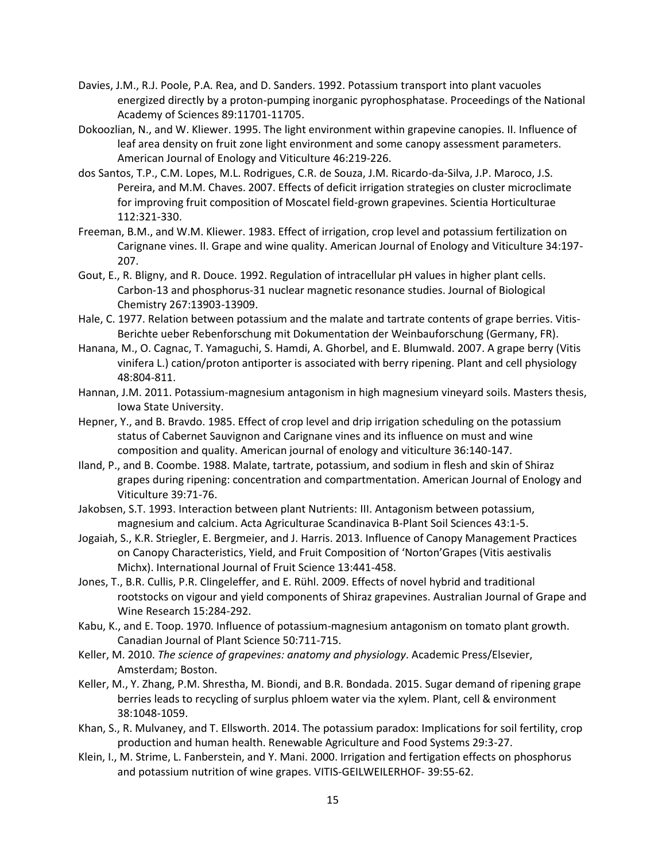- Davies, J.M., R.J. Poole, P.A. Rea, and D. Sanders. 1992. Potassium transport into plant vacuoles energized directly by a proton-pumping inorganic pyrophosphatase. Proceedings of the National Academy of Sciences 89:11701-11705.
- Dokoozlian, N., and W. Kliewer. 1995. The light environment within grapevine canopies. II. Influence of leaf area density on fruit zone light environment and some canopy assessment parameters. American Journal of Enology and Viticulture 46:219-226.
- dos Santos, T.P., C.M. Lopes, M.L. Rodrigues, C.R. de Souza, J.M. Ricardo-da-Silva, J.P. Maroco, J.S. Pereira, and M.M. Chaves. 2007. Effects of deficit irrigation strategies on cluster microclimate for improving fruit composition of Moscatel field-grown grapevines. Scientia Horticulturae 112:321-330.
- Freeman, B.M., and W.M. Kliewer. 1983. Effect of irrigation, crop level and potassium fertilization on Carignane vines. II. Grape and wine quality. American Journal of Enology and Viticulture 34:197- 207.
- Gout, E., R. Bligny, and R. Douce. 1992. Regulation of intracellular pH values in higher plant cells. Carbon-13 and phosphorus-31 nuclear magnetic resonance studies. Journal of Biological Chemistry 267:13903-13909.
- Hale, C. 1977. Relation between potassium and the malate and tartrate contents of grape berries. Vitis-Berichte ueber Rebenforschung mit Dokumentation der Weinbauforschung (Germany, FR).
- Hanana, M., O. Cagnac, T. Yamaguchi, S. Hamdi, A. Ghorbel, and E. Blumwald. 2007. A grape berry (Vitis vinifera L.) cation/proton antiporter is associated with berry ripening. Plant and cell physiology 48:804-811.
- Hannan, J.M. 2011. Potassium-magnesium antagonism in high magnesium vineyard soils. Masters thesis, Iowa State University.
- Hepner, Y., and B. Bravdo. 1985. Effect of crop level and drip irrigation scheduling on the potassium status of Cabernet Sauvignon and Carignane vines and its influence on must and wine composition and quality. American journal of enology and viticulture 36:140-147.
- Iland, P., and B. Coombe. 1988. Malate, tartrate, potassium, and sodium in flesh and skin of Shiraz grapes during ripening: concentration and compartmentation. American Journal of Enology and Viticulture 39:71-76.
- Jakobsen, S.T. 1993. Interaction between plant Nutrients: III. Antagonism between potassium, magnesium and calcium. Acta Agriculturae Scandinavica B-Plant Soil Sciences 43:1-5.
- Jogaiah, S., K.R. Striegler, E. Bergmeier, and J. Harris. 2013. Influence of Canopy Management Practices on Canopy Characteristics, Yield, and Fruit Composition of 'Norton'Grapes (Vitis aestivalis Michx). International Journal of Fruit Science 13:441-458.
- Jones, T., B.R. Cullis, P.R. Clingeleffer, and E. Rühl. 2009. Effects of novel hybrid and traditional rootstocks on vigour and yield components of Shiraz grapevines. Australian Journal of Grape and Wine Research 15:284-292.
- Kabu, K., and E. Toop. 1970. Influence of potassium-magnesium antagonism on tomato plant growth. Canadian Journal of Plant Science 50:711-715.
- Keller, M. 2010. *The science of grapevines: anatomy and physiology*. Academic Press/Elsevier, Amsterdam; Boston.
- Keller, M., Y. Zhang, P.M. Shrestha, M. Biondi, and B.R. Bondada. 2015. Sugar demand of ripening grape berries leads to recycling of surplus phloem water via the xylem. Plant, cell & environment 38:1048-1059.
- Khan, S., R. Mulvaney, and T. Ellsworth. 2014. The potassium paradox: Implications for soil fertility, crop production and human health. Renewable Agriculture and Food Systems 29:3-27.
- Klein, I., M. Strime, L. Fanberstein, and Y. Mani. 2000. Irrigation and fertigation effects on phosphorus and potassium nutrition of wine grapes. VITIS-GEILWEILERHOF- 39:55-62.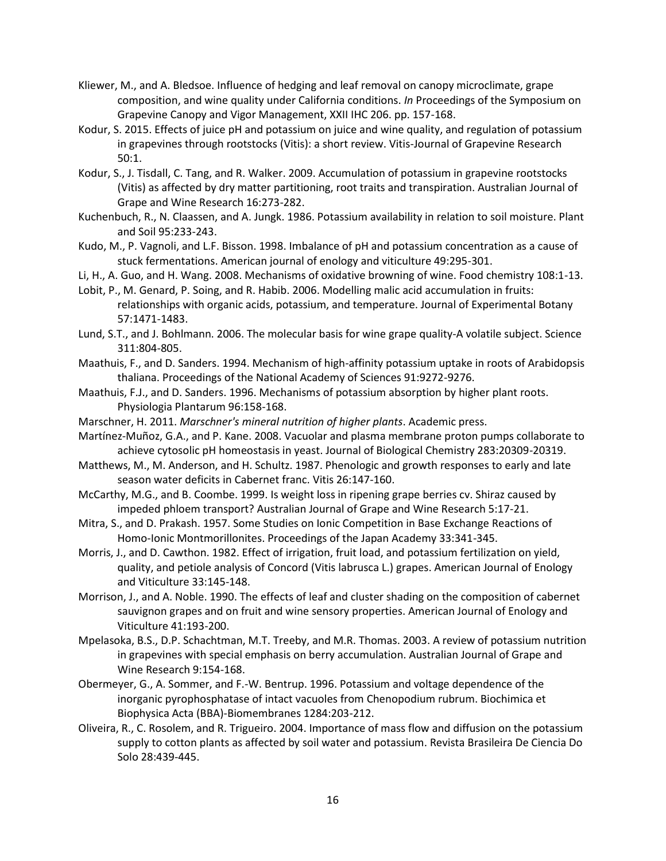- Kliewer, M., and A. Bledsoe. Influence of hedging and leaf removal on canopy microclimate, grape composition, and wine quality under California conditions. *In* Proceedings of the Symposium on Grapevine Canopy and Vigor Management, XXII IHC 206. pp. 157-168.
- Kodur, S. 2015. Effects of juice pH and potassium on juice and wine quality, and regulation of potassium in grapevines through rootstocks (Vitis): a short review. Vitis-Journal of Grapevine Research 50:1.
- Kodur, S., J. Tisdall, C. Tang, and R. Walker. 2009. Accumulation of potassium in grapevine rootstocks (Vitis) as affected by dry matter partitioning, root traits and transpiration. Australian Journal of Grape and Wine Research 16:273-282.
- Kuchenbuch, R., N. Claassen, and A. Jungk. 1986. Potassium availability in relation to soil moisture. Plant and Soil 95:233-243.
- Kudo, M., P. Vagnoli, and L.F. Bisson. 1998. Imbalance of pH and potassium concentration as a cause of stuck fermentations. American journal of enology and viticulture 49:295-301.
- Li, H., A. Guo, and H. Wang. 2008. Mechanisms of oxidative browning of wine. Food chemistry 108:1-13.
- Lobit, P., M. Genard, P. Soing, and R. Habib. 2006. Modelling malic acid accumulation in fruits: relationships with organic acids, potassium, and temperature. Journal of Experimental Botany 57:1471-1483.
- Lund, S.T., and J. Bohlmann. 2006. The molecular basis for wine grape quality-A volatile subject. Science 311:804-805.
- Maathuis, F., and D. Sanders. 1994. Mechanism of high-affinity potassium uptake in roots of Arabidopsis thaliana. Proceedings of the National Academy of Sciences 91:9272-9276.
- Maathuis, F.J., and D. Sanders. 1996. Mechanisms of potassium absorption by higher plant roots. Physiologia Plantarum 96:158-168.
- Marschner, H. 2011. *Marschner's mineral nutrition of higher plants*. Academic press.
- Martínez-Muñoz, G.A., and P. Kane. 2008. Vacuolar and plasma membrane proton pumps collaborate to achieve cytosolic pH homeostasis in yeast. Journal of Biological Chemistry 283:20309-20319.
- Matthews, M., M. Anderson, and H. Schultz. 1987. Phenologic and growth responses to early and late season water deficits in Cabernet franc. Vitis 26:147-160.
- McCarthy, M.G., and B. Coombe. 1999. Is weight loss in ripening grape berries cv. Shiraz caused by impeded phloem transport? Australian Journal of Grape and Wine Research 5:17-21.
- Mitra, S., and D. Prakash. 1957. Some Studies on Ionic Competition in Base Exchange Reactions of Homo-Ionic Montmorillonites. Proceedings of the Japan Academy 33:341-345.
- Morris, J., and D. Cawthon. 1982. Effect of irrigation, fruit load, and potassium fertilization on yield, quality, and petiole analysis of Concord (Vitis labrusca L.) grapes. American Journal of Enology and Viticulture 33:145-148.
- Morrison, J., and A. Noble. 1990. The effects of leaf and cluster shading on the composition of cabernet sauvignon grapes and on fruit and wine sensory properties. American Journal of Enology and Viticulture 41:193-200.
- Mpelasoka, B.S., D.P. Schachtman, M.T. Treeby, and M.R. Thomas. 2003. A review of potassium nutrition in grapevines with special emphasis on berry accumulation. Australian Journal of Grape and Wine Research 9:154-168.
- Obermeyer, G., A. Sommer, and F.-W. Bentrup. 1996. Potassium and voltage dependence of the inorganic pyrophosphatase of intact vacuoles from Chenopodium rubrum. Biochimica et Biophysica Acta (BBA)-Biomembranes 1284:203-212.
- Oliveira, R., C. Rosolem, and R. Trigueiro. 2004. Importance of mass flow and diffusion on the potassium supply to cotton plants as affected by soil water and potassium. Revista Brasileira De Ciencia Do Solo 28:439-445.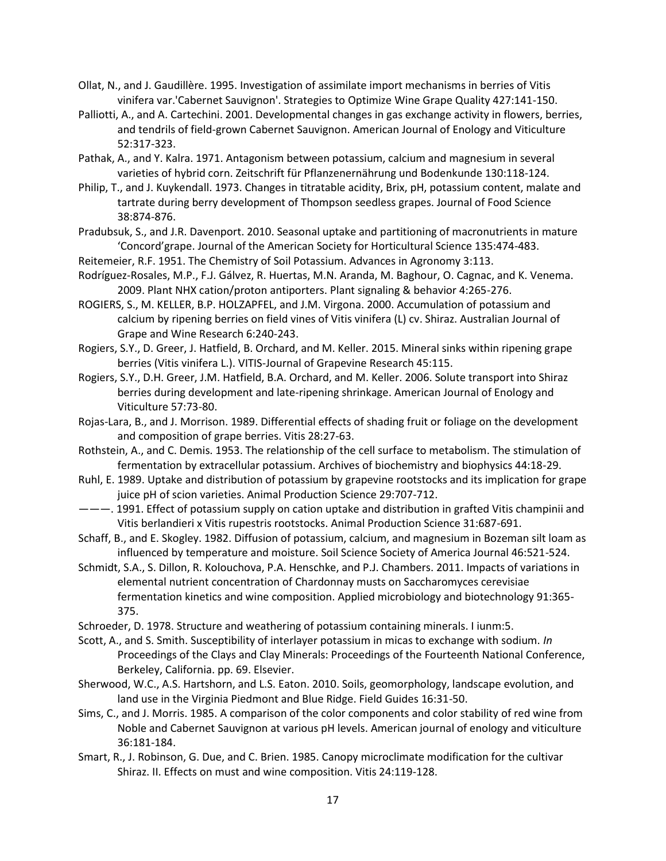- Ollat, N., and J. Gaudillère. 1995. Investigation of assimilate import mechanisms in berries of Vitis vinifera var.'Cabernet Sauvignon'. Strategies to Optimize Wine Grape Quality 427:141-150.
- Palliotti, A., and A. Cartechini. 2001. Developmental changes in gas exchange activity in flowers, berries, and tendrils of field-grown Cabernet Sauvignon. American Journal of Enology and Viticulture 52:317-323.
- Pathak, A., and Y. Kalra. 1971. Antagonism between potassium, calcium and magnesium in several varieties of hybrid corn. Zeitschrift für Pflanzenernährung und Bodenkunde 130:118-124.
- Philip, T., and J. Kuykendall. 1973. Changes in titratable acidity, Brix, pH, potassium content, malate and tartrate during berry development of Thompson seedless grapes. Journal of Food Science 38:874-876.
- Pradubsuk, S., and J.R. Davenport. 2010. Seasonal uptake and partitioning of macronutrients in mature 'Concord'grape. Journal of the American Society for Horticultural Science 135:474-483.
- Reitemeier, R.F. 1951. The Chemistry of Soil Potassium. Advances in Agronomy 3:113.
- Rodríguez-Rosales, M.P., F.J. Gálvez, R. Huertas, M.N. Aranda, M. Baghour, O. Cagnac, and K. Venema. 2009. Plant NHX cation/proton antiporters. Plant signaling & behavior 4:265-276.
- ROGIERS, S., M. KELLER, B.P. HOLZAPFEL, and J.M. Virgona. 2000. Accumulation of potassium and calcium by ripening berries on field vines of Vitis vinifera (L) cv. Shiraz. Australian Journal of Grape and Wine Research 6:240-243.
- Rogiers, S.Y., D. Greer, J. Hatfield, B. Orchard, and M. Keller. 2015. Mineral sinks within ripening grape berries (Vitis vinifera L.). VITIS-Journal of Grapevine Research 45:115.
- Rogiers, S.Y., D.H. Greer, J.M. Hatfield, B.A. Orchard, and M. Keller. 2006. Solute transport into Shiraz berries during development and late-ripening shrinkage. American Journal of Enology and Viticulture 57:73-80.
- Rojas-Lara, B., and J. Morrison. 1989. Differential effects of shading fruit or foliage on the development and composition of grape berries. Vitis 28:27-63.
- Rothstein, A., and C. Demis. 1953. The relationship of the cell surface to metabolism. The stimulation of fermentation by extracellular potassium. Archives of biochemistry and biophysics 44:18-29.
- Ruhl, E. 1989. Uptake and distribution of potassium by grapevine rootstocks and its implication for grape juice pH of scion varieties. Animal Production Science 29:707-712.
- ———. 1991. Effect of potassium supply on cation uptake and distribution in grafted Vitis champinii and Vitis berlandieri x Vitis rupestris rootstocks. Animal Production Science 31:687-691.
- Schaff, B., and E. Skogley. 1982. Diffusion of potassium, calcium, and magnesium in Bozeman silt loam as influenced by temperature and moisture. Soil Science Society of America Journal 46:521-524.
- Schmidt, S.A., S. Dillon, R. Kolouchova, P.A. Henschke, and P.J. Chambers. 2011. Impacts of variations in elemental nutrient concentration of Chardonnay musts on Saccharomyces cerevisiae fermentation kinetics and wine composition. Applied microbiology and biotechnology 91:365- 375.
- Schroeder, D. 1978. Structure and weathering of potassium containing minerals. I iunm:5.
- Scott, A., and S. Smith. Susceptibility of interlayer potassium in micas to exchange with sodium. *In* Proceedings of the Clays and Clay Minerals: Proceedings of the Fourteenth National Conference, Berkeley, California. pp. 69. Elsevier.
- Sherwood, W.C., A.S. Hartshorn, and L.S. Eaton. 2010. Soils, geomorphology, landscape evolution, and land use in the Virginia Piedmont and Blue Ridge. Field Guides 16:31-50.
- Sims, C., and J. Morris. 1985. A comparison of the color components and color stability of red wine from Noble and Cabernet Sauvignon at various pH levels. American journal of enology and viticulture 36:181-184.
- Smart, R., J. Robinson, G. Due, and C. Brien. 1985. Canopy microclimate modification for the cultivar Shiraz. II. Effects on must and wine composition. Vitis 24:119-128.